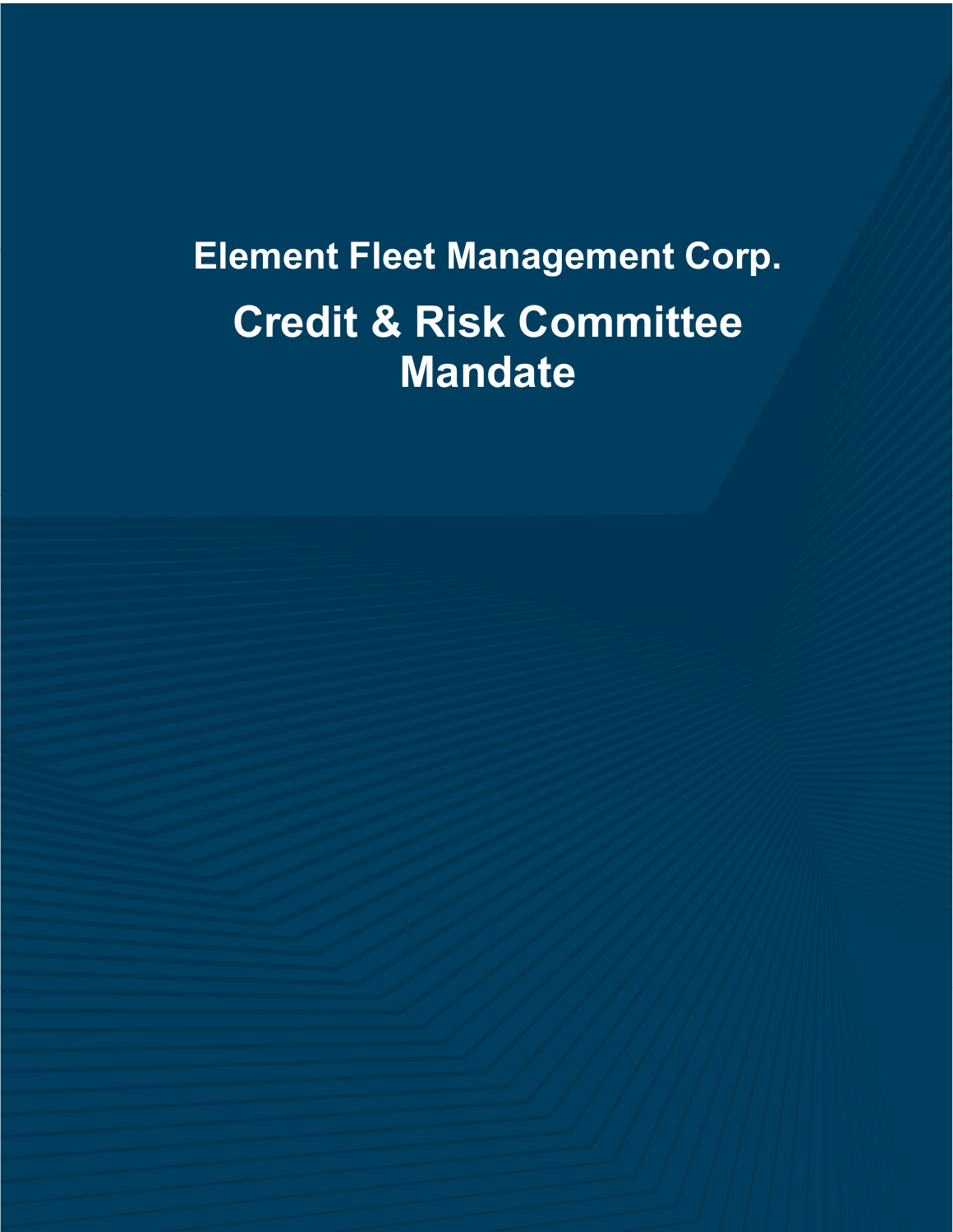# **Element Fleet Management Corp. Credit & Risk Committee Mandate**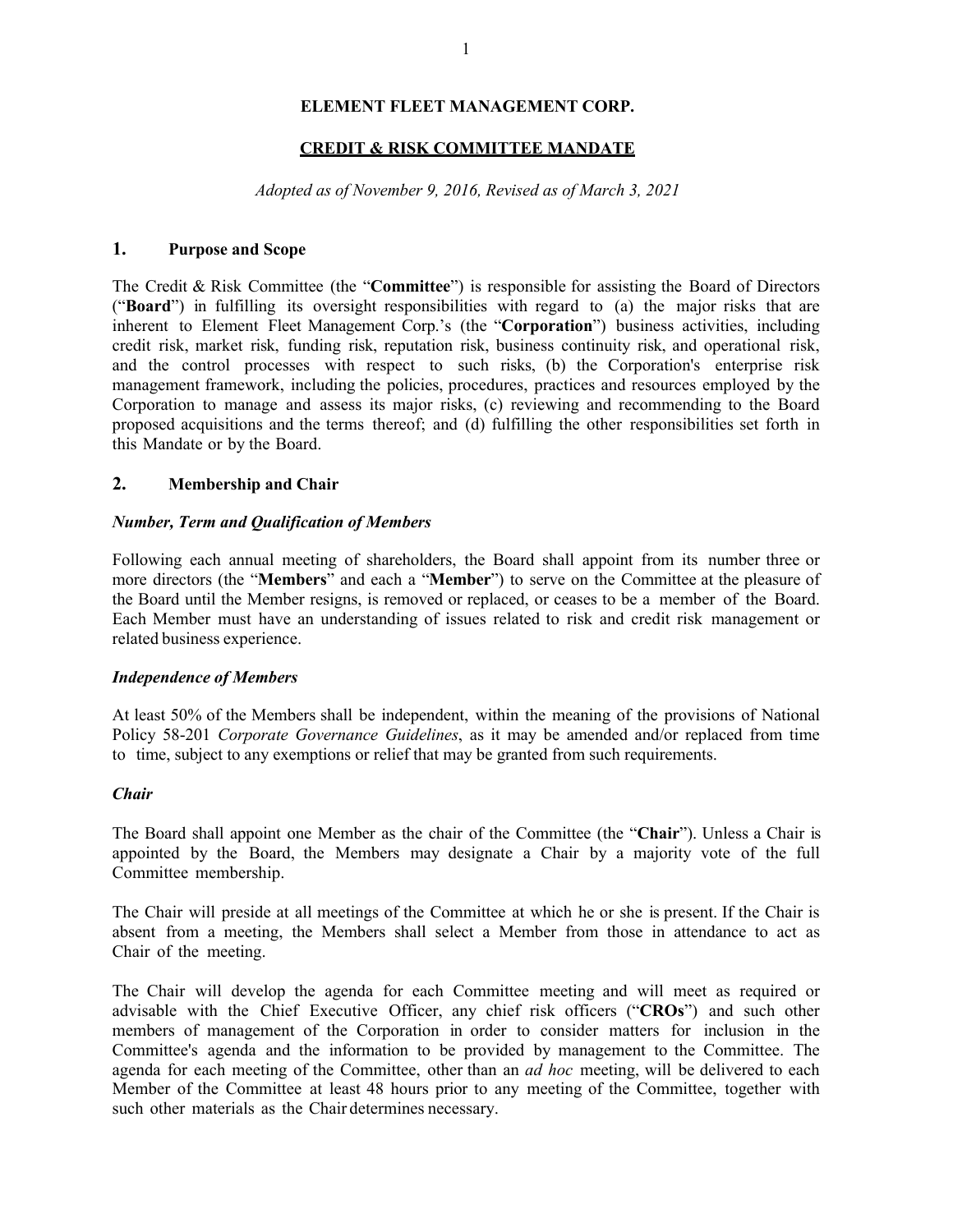# **ELEMENT FLEET MANAGEMENT CORP.**

## **CREDIT & RISK COMMITTEE MANDATE**

*Adopted as of November 9, 2016, Revised as of March 3, 2021* 

# **1. Purpose and Scope**

The Credit & Risk Committee (the "**Committee**") is responsible for assisting the Board of Directors ("**Board**") in fulfilling its oversight responsibilities with regard to (a) the major risks that are inherent to Element Fleet Management Corp.'s (the "**Corporation**") business activities, including credit risk, market risk, funding risk, reputation risk, business continuity risk, and operational risk, and the control processes with respect to such risks, (b) the Corporation's enterprise risk management framework, including the policies, procedures, practices and resources employed by the Corporation to manage and assess its major risks, (c) reviewing and recommending to the Board proposed acquisitions and the terms thereof; and (d) fulfilling the other responsibilities set forth in this Mandate or by the Board.

## **2. Membership and Chair**

#### *Number, Term and Qualification of Members*

Following each annual meeting of shareholders, the Board shall appoint from its number three or more directors (the "**Members**" and each a "**Member**") to serve on the Committee at the pleasure of the Board until the Member resigns, is removed or replaced, or ceases to be a member of the Board. Each Member must have an understanding of issues related to risk and credit risk management or related business experience.

#### *Independence of Members*

At least 50% of the Members shall be independent, within the meaning of the provisions of National Policy 58-201 *Corporate Governance Guidelines*, as it may be amended and/or replaced from time to time, subject to any exemptions or relief that may be granted from such requirements.

#### *Chair*

The Board shall appoint one Member as the chair of the Committee (the "**Chair**"). Unless a Chair is appointed by the Board, the Members may designate a Chair by a majority vote of the full Committee membership.

The Chair will preside at all meetings of the Committee at which he or she is present. If the Chair is absent from a meeting, the Members shall select a Member from those in attendance to act as Chair of the meeting.

The Chair will develop the agenda for each Committee meeting and will meet as required or advisable with the Chief Executive Officer, any chief risk officers ("**CROs**") and such other members of management of the Corporation in order to consider matters for inclusion in the Committee's agenda and the information to be provided by management to the Committee. The agenda for each meeting of the Committee, other than an *ad hoc* meeting, will be delivered to each Member of the Committee at least 48 hours prior to any meeting of the Committee, together with such other materials as the Chair determines necessary.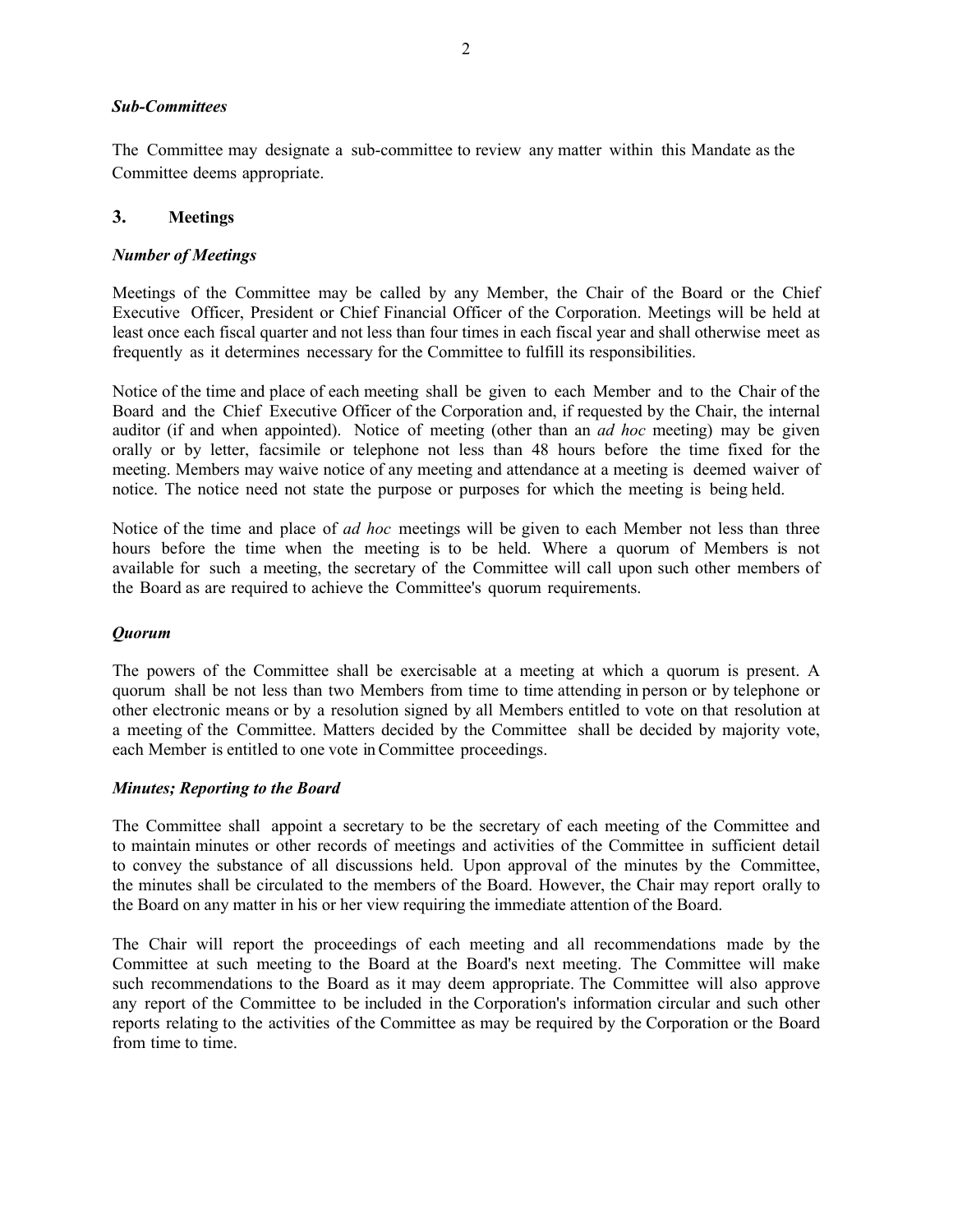#### *Sub-Committees*

The Committee may designate a sub-committee to review any matter within this Mandate as the Committee deems appropriate.

## **3. Meetings**

## *Number of Meetings*

Meetings of the Committee may be called by any Member, the Chair of the Board or the Chief Executive Officer, President or Chief Financial Officer of the Corporation. Meetings will be held at least once each fiscal quarter and not less than four times in each fiscal year and shall otherwise meet as frequently as it determines necessary for the Committee to fulfill its responsibilities.

Notice of the time and place of each meeting shall be given to each Member and to the Chair of the Board and the Chief Executive Officer of the Corporation and, if requested by the Chair, the internal auditor (if and when appointed). Notice of meeting (other than an *ad hoc* meeting) may be given orally or by letter, facsimile or telephone not less than 48 hours before the time fixed for the meeting. Members may waive notice of any meeting and attendance at a meeting is deemed waiver of notice. The notice need not state the purpose or purposes for which the meeting is being held.

Notice of the time and place of *ad hoc* meetings will be given to each Member not less than three hours before the time when the meeting is to be held. Where a quorum of Members is not available for such a meeting, the secretary of the Committee will call upon such other members of the Board as are required to achieve the Committee's quorum requirements.

#### *Quorum*

The powers of the Committee shall be exercisable at a meeting at which a quorum is present. A quorum shall be not less than two Members from time to time attending in person or by telephone or other electronic means or by a resolution signed by all Members entitled to vote on that resolution at a meeting of the Committee. Matters decided by the Committee shall be decided by majority vote, each Member is entitled to one vote in Committee proceedings.

## *Minutes; Reporting to the Board*

The Committee shall appoint a secretary to be the secretary of each meeting of the Committee and to maintain minutes or other records of meetings and activities of the Committee in sufficient detail to convey the substance of all discussions held. Upon approval of the minutes by the Committee, the minutes shall be circulated to the members of the Board. However, the Chair may report orally to the Board on any matter in his or her view requiring the immediate attention of the Board.

The Chair will report the proceedings of each meeting and all recommendations made by the Committee at such meeting to the Board at the Board's next meeting. The Committee will make such recommendations to the Board as it may deem appropriate. The Committee will also approve any report of the Committee to be included in the Corporation's information circular and such other reports relating to the activities of the Committee as may be required by the Corporation or the Board from time to time.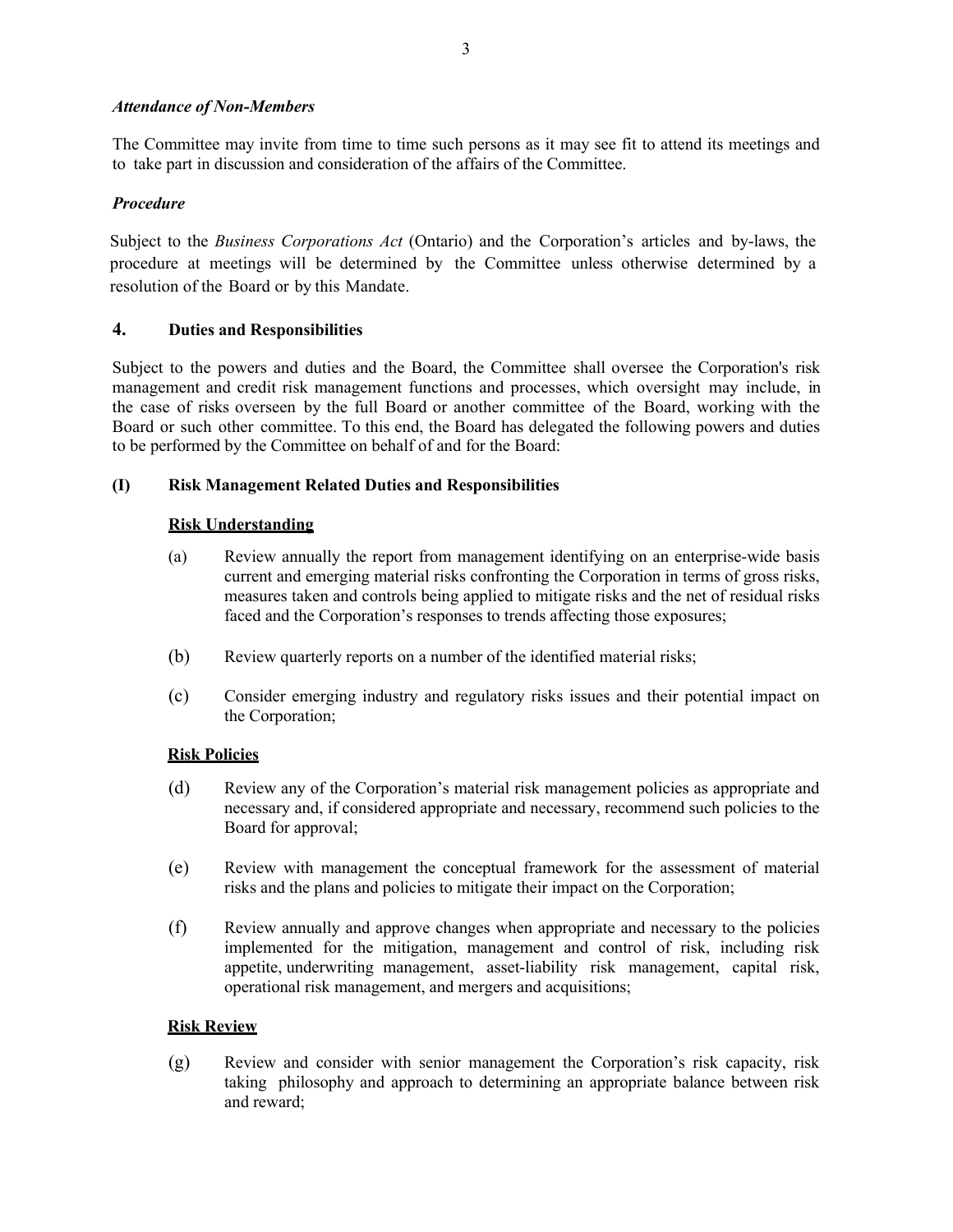## *Attendance of Non-Members*

The Committee may invite from time to time such persons as it may see fit to attend its meetings and to take part in discussion and consideration of the affairs of the Committee.

## *Procedure*

Subject to the *Business Corporations Act* (Ontario) and the Corporation's articles and by-laws, the procedure at meetings will be determined by the Committee unless otherwise determined by a resolution of the Board or by this Mandate.

## **4. Duties and Responsibilities**

Subject to the powers and duties and the Board, the Committee shall oversee the Corporation's risk management and credit risk management functions and processes, which oversight may include, in the case of risks overseen by the full Board or another committee of the Board, working with the Board or such other committee. To this end, the Board has delegated the following powers and duties to be performed by the Committee on behalf of and for the Board:

## **(I) Risk Management Related Duties and Responsibilities**

## **Risk Understanding**

- (a) Review annually the report from management identifying on an enterprise-wide basis current and emerging material risks confronting the Corporation in terms of gross risks, measures taken and controls being applied to mitigate risks and the net of residual risks faced and the Corporation's responses to trends affecting those exposures;
- (b) Review quarterly reports on a number of the identified material risks;
- (c) Consider emerging industry and regulatory risks issues and their potential impact on the Corporation;

#### **Risk Policies**

- (d) Review any of the Corporation's material risk management policies as appropriate and necessary and, if considered appropriate and necessary, recommend such policies to the Board for approval;
- (e) Review with management the conceptual framework for the assessment of material risks and the plans and policies to mitigate their impact on the Corporation;
- (f) Review annually and approve changes when appropriate and necessary to the policies implemented for the mitigation, management and control of risk, including risk appetite, underwriting management, asset-liability risk management, capital risk, operational risk management, and mergers and acquisitions;

#### **Risk Review**

(g) Review and consider with senior management the Corporation's risk capacity, risk taking philosophy and approach to determining an appropriate balance between risk and reward;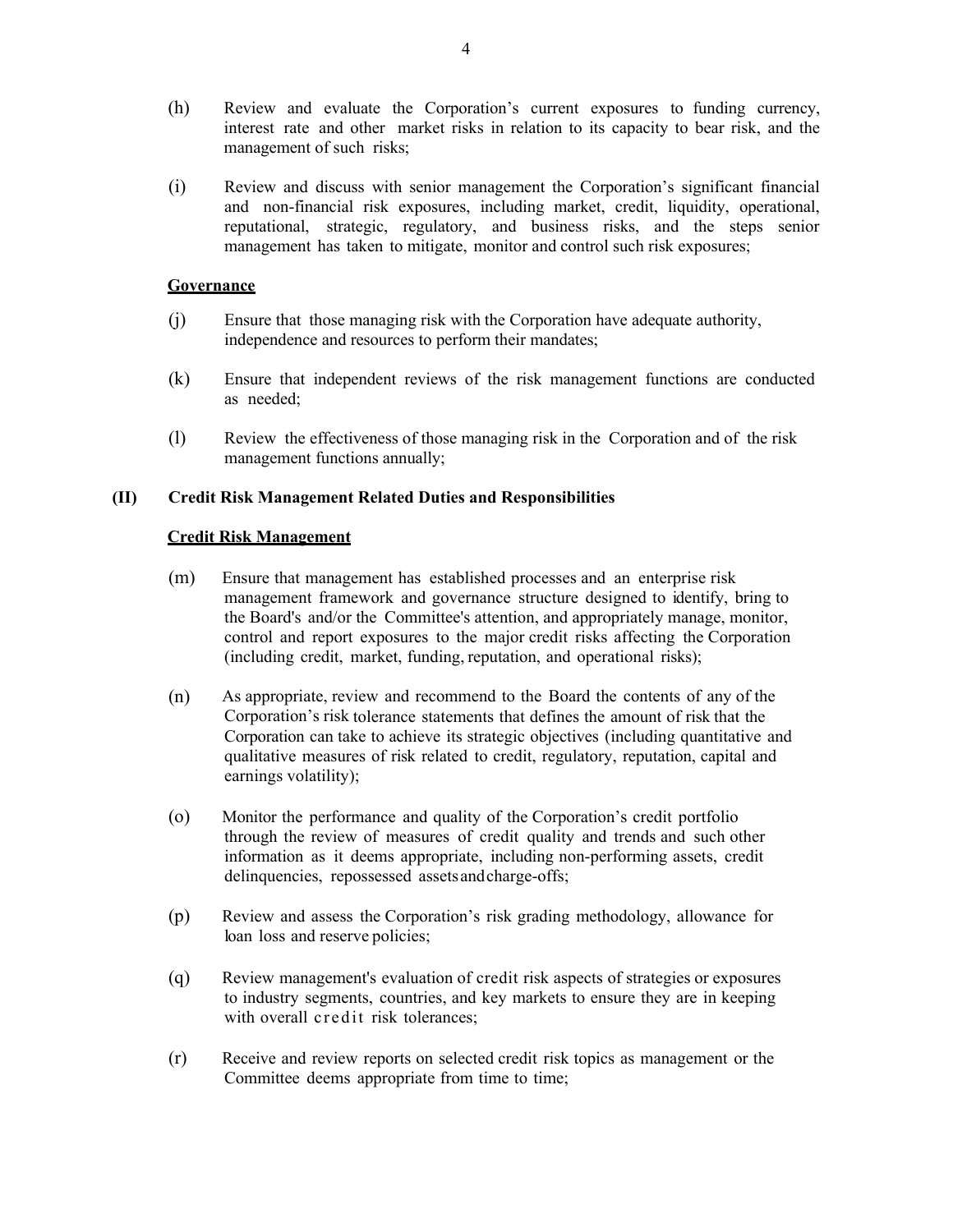- (h) Review and evaluate the Corporation's current exposures to funding currency, interest rate and other market risks in relation to its capacity to bear risk, and the management of such risks;
- (i) Review and discuss with senior management the Corporation's significant financial and non-financial risk exposures, including market, credit, liquidity, operational, reputational, strategic, regulatory, and business risks, and the steps senior management has taken to mitigate, monitor and control such risk exposures;

#### **Governance**

- (j) Ensure that those managing risk with the Corporation have adequate authority, independence and resources to perform their mandates;
- (k) Ensure that independent reviews of the risk management functions are conducted as needed;
- (l) Review the effectiveness of those managing risk in the Corporation and of the risk management functions annually;

## **(II) Credit Risk Management Related Duties and Responsibilities**

## **Credit Risk Management**

- (m) Ensure that management has established processes and an enterprise risk management framework and governance structure designed to identify, bring to the Board's and/or the Committee's attention, and appropriately manage, monitor, control and report exposures to the major credit risks affecting the Corporation (including credit, market, funding, reputation, and operational risks);
- (n) As appropriate, review and recommend to the Board the contents of any of the Corporation's risk tolerance statements that defines the amount of risk that the Corporation can take to achieve its strategic objectives (including quantitative and qualitative measures of risk related to credit, regulatory, reputation, capital and earnings volatility);
- (o) Monitor the performance and quality of the Corporation's credit portfolio through the review of measures of credit quality and trends and such other information as it deems appropriate, including non-performing assets, credit delinquencies, repossessed assets and charge-offs;
- (p) Review and assess the Corporation's risk grading methodology, allowance for loan loss and reserve policies;
- (q) Review management's evaluation of credit risk aspects of strategies or exposures to industry segments, countries, and key markets to ensure they are in keeping with overall credit risk tolerances;
- (r) Receive and review reports on selected credit risk topics as management or the Committee deems appropriate from time to time;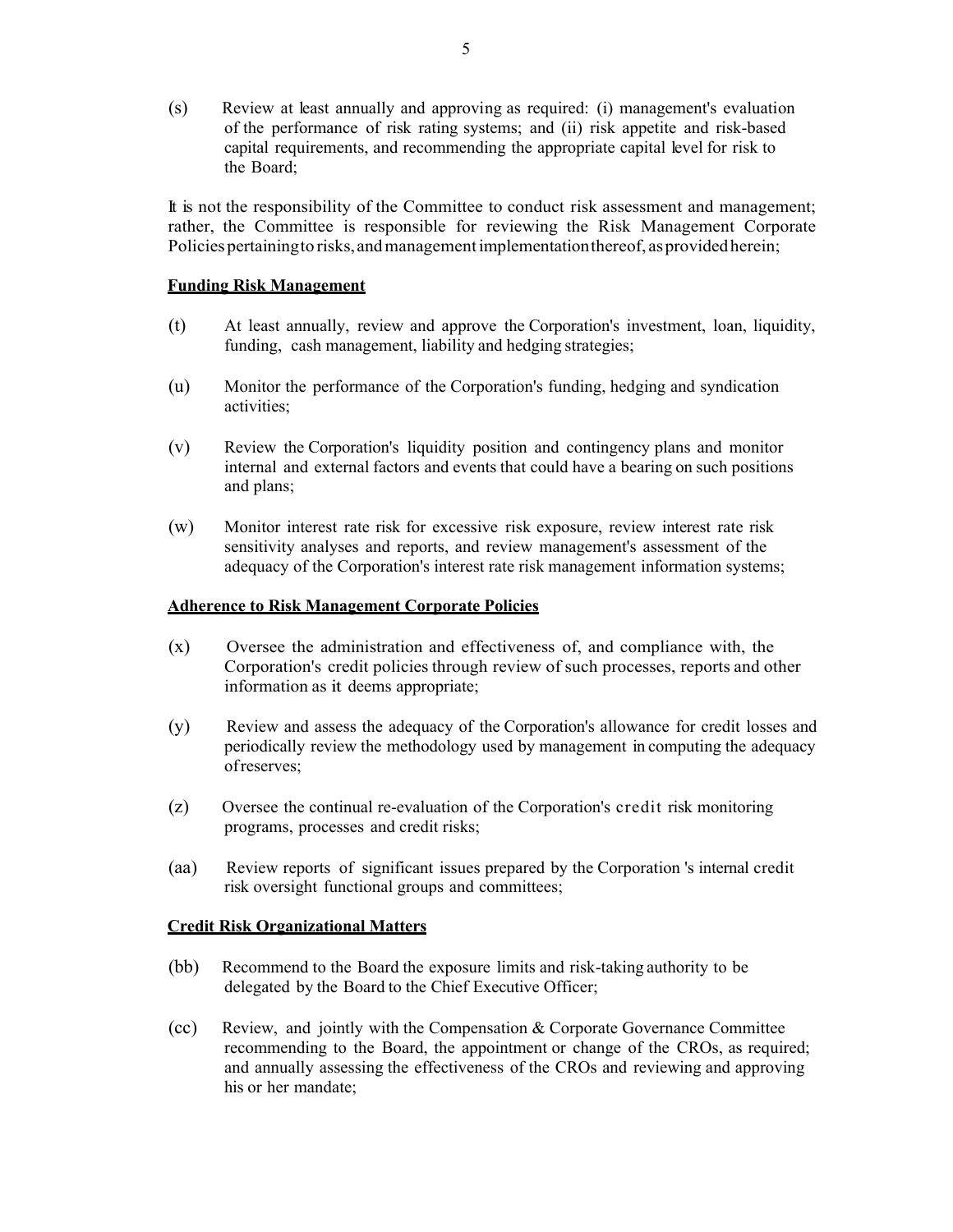(s) Review at least annually and approving as required: (i) management's evaluation of the performance of risk rating systems; and (ii) risk appetite and risk-based capital requirements, and recommending the appropriate capital level for risk to the Board;

It is not the responsibility of the Committee to conduct risk assessment and management; rather, the Committee is responsible for reviewing the Risk Management Corporate Policies pertaining to risks, and management implementation thereof, as provided herein;

## **Funding Risk Management**

- (t) At least annually, review and approve the Corporation's investment, loan, liquidity, funding, cash management, liability and hedging strategies;
- (u) Monitor the performance of the Corporation's funding, hedging and syndication activities;
- (v) Review the Corporation's liquidity position and contingency plans and monitor internal and external factors and events that could have a bearing on such positions and plans;
- (w) Monitor interest rate risk for excessive risk exposure, review interest rate risk sensitivity analyses and reports, and review management's assessment of the adequacy of the Corporation's interest rate risk management information systems;

#### **Adherence to Risk Management Corporate Policies**

- (x) Oversee the administration and effectiveness of, and compliance with, the Corporation's credit policies through review of such processes, reports and other information as it deems appropriate;
- (y) Review and assess the adequacy of the Corporation's allowance for credit losses and periodically review the methodology used by management in computing the adequacy of reserves;
- (z) Oversee the continual re-evaluation of the Corporation's credit risk monitoring programs, processes and credit risks;
- (aa) Review reports of significant issues prepared by the Corporation 's internal credit risk oversight functional groups and committees;

#### **Credit Risk Organizational Matters**

- (bb) Recommend to the Board the exposure limits and risk-taking authority to be delegated by the Board to the Chief Executive Officer;
- (cc) Review, and jointly with the Compensation & Corporate Governance Committee recommending to the Board, the appointment or change of the CROs, as required; and annually assessing the effectiveness of the CROs and reviewing and approving his or her mandate;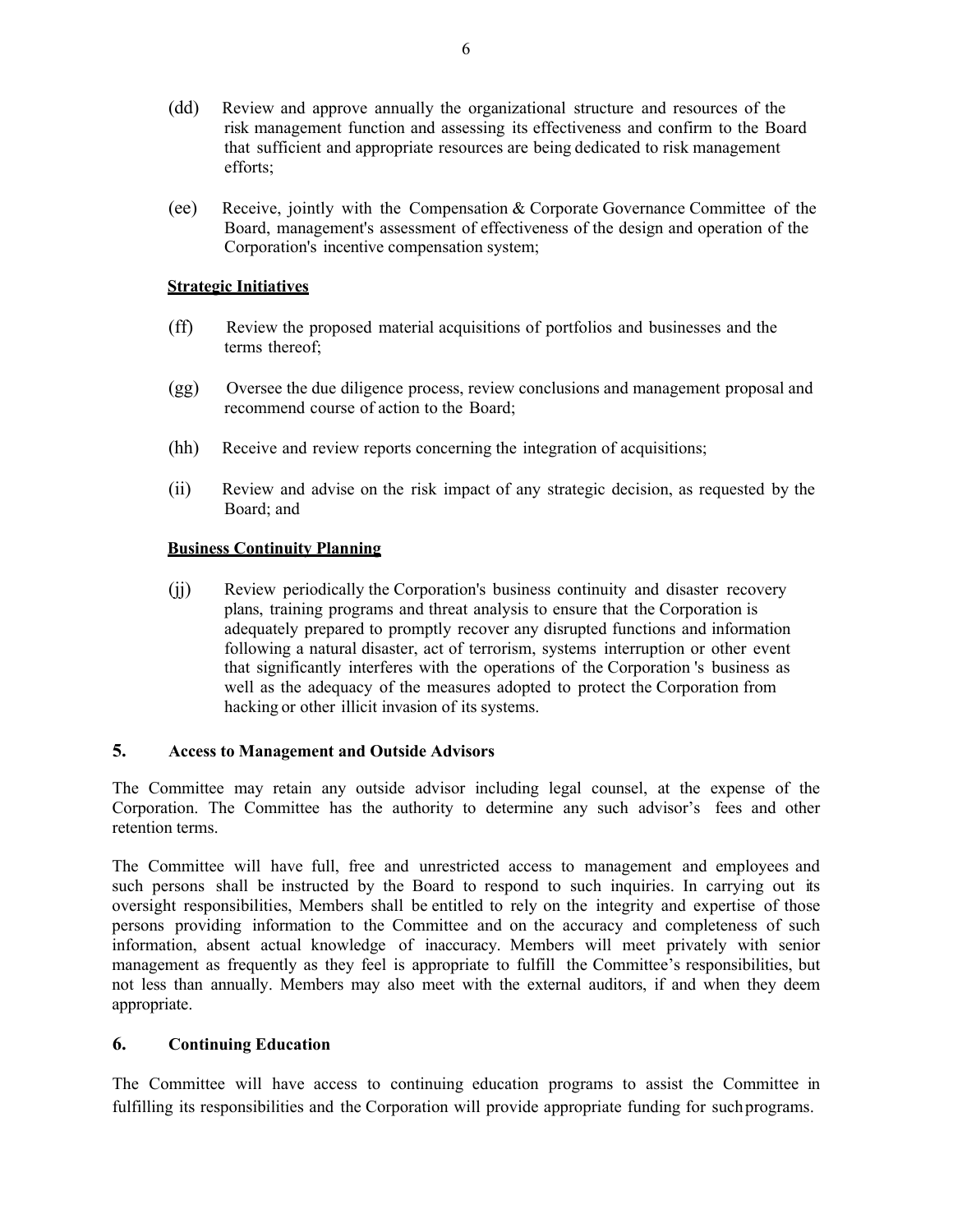- (dd) Review and approve annually the organizational structure and resources of the risk management function and assessing its effectiveness and confirm to the Board that sufficient and appropriate resources are being dedicated to risk management efforts;
- (ee) Receive, jointly with the Compensation & Corporate Governance Committee of the Board, management's assessment of effectiveness of the design and operation of the Corporation's incentive compensation system;

## **Strategic Initiatives**

- (ff) Review the proposed material acquisitions of portfolios and businesses and the terms thereof;
- (gg) Oversee the due diligence process, review conclusions and management proposal and recommend course of action to the Board;
- (hh) Receive and review reports concerning the integration of acquisitions;
- (ii) Review and advise on the risk impact of any strategic decision, as requested by the Board; and

## **Business Continuity Planning**

(jj) Review periodically the Corporation's business continuity and disaster recovery plans, training programs and threat analysis to ensure that the Corporation is adequately prepared to promptly recover any disrupted functions and information following a natural disaster, act of terrorism, systems interruption or other event that significantly interferes with the operations of the Corporation 's business as well as the adequacy of the measures adopted to protect the Corporation from hacking or other illicit invasion of its systems.

#### **5. Access to Management and Outside Advisors**

The Committee may retain any outside advisor including legal counsel, at the expense of the Corporation. The Committee has the authority to determine any such advisor's fees and other retention terms.

The Committee will have full, free and unrestricted access to management and employees and such persons shall be instructed by the Board to respond to such inquiries. In carrying out its oversight responsibilities, Members shall be entitled to rely on the integrity and expertise of those persons providing information to the Committee and on the accuracy and completeness of such information, absent actual knowledge of inaccuracy. Members will meet privately with senior management as frequently as they feel is appropriate to fulfill the Committee's responsibilities, but not less than annually. Members may also meet with the external auditors, if and when they deem appropriate.

## **6. Continuing Education**

The Committee will have access to continuing education programs to assist the Committee in fulfilling its responsibilities and the Corporation will provide appropriate funding for such programs.